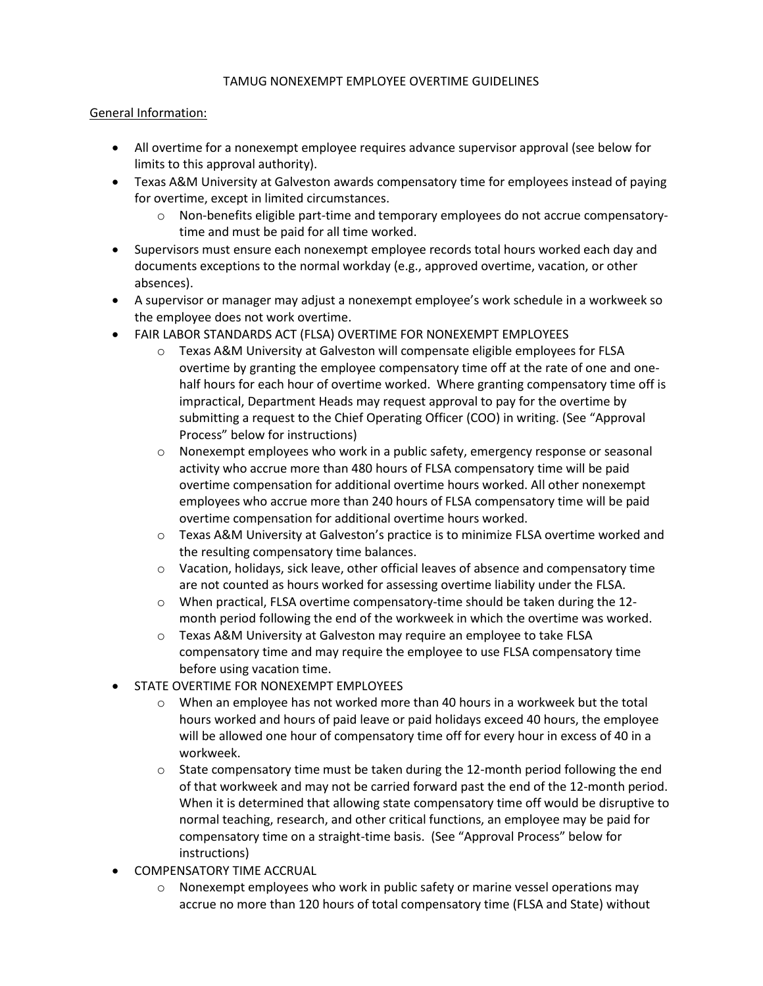## TAMUG NONEXEMPT EMPLOYEE OVERTIME GUIDELINES

## General Information:

- All overtime for a nonexempt employee requires advance supervisor approval (see below for limits to this approval authority).
- Texas A&M University at Galveston awards compensatory time for employees instead of paying for overtime, except in limited circumstances.
	- o Non-benefits eligible part-time and temporary employees do not accrue compensatorytime and must be paid for all time worked.
- Supervisors must ensure each nonexempt employee records total hours worked each day and documents exceptions to the normal workday (e.g., approved overtime, vacation, or other absences).
- A supervisor or manager may adjust a nonexempt employee's work schedule in a workweek so the employee does not work overtime.
- FAIR LABOR STANDARDS ACT (FLSA) OVERTIME FOR NONEXEMPT EMPLOYEES
	- $\circ$  Texas A&M University at Galveston will compensate eligible employees for FLSA overtime by granting the employee compensatory time off at the rate of one and onehalf hours for each hour of overtime worked. Where granting compensatory time off is impractical, Department Heads may request approval to pay for the overtime by submitting a request to the Chief Operating Officer (COO) in writing. (See "Approval Process" below for instructions)
	- o Nonexempt employees who work in a public safety, emergency response or seasonal activity who accrue more than 480 hours of FLSA compensatory time will be paid overtime compensation for additional overtime hours worked. All other nonexempt employees who accrue more than 240 hours of FLSA compensatory time will be paid overtime compensation for additional overtime hours worked.
	- o Texas A&M University at Galveston's practice is to minimize FLSA overtime worked and the resulting compensatory time balances.
	- $\circ$  Vacation, holidays, sick leave, other official leaves of absence and compensatory time are not counted as hours worked for assessing overtime liability under the FLSA.
	- o When practical, FLSA overtime compensatory-time should be taken during the 12 month period following the end of the workweek in which the overtime was worked.
	- o Texas A&M University at Galveston may require an employee to take FLSA compensatory time and may require the employee to use FLSA compensatory time before using vacation time.
- STATE OVERTIME FOR NONEXEMPT EMPLOYEES
	- $\circ$  When an employee has not worked more than 40 hours in a workweek but the total hours worked and hours of paid leave or paid holidays exceed 40 hours, the employee will be allowed one hour of compensatory time off for every hour in excess of 40 in a workweek.
	- o State compensatory time must be taken during the 12-month period following the end of that workweek and may not be carried forward past the end of the 12-month period. When it is determined that allowing state compensatory time off would be disruptive to normal teaching, research, and other critical functions, an employee may be paid for compensatory time on a straight-time basis. (See "Approval Process" below for instructions)
- COMPENSATORY TIME ACCRUAL
	- $\circ$  Nonexempt employees who work in public safety or marine vessel operations may accrue no more than 120 hours of total compensatory time (FLSA and State) without